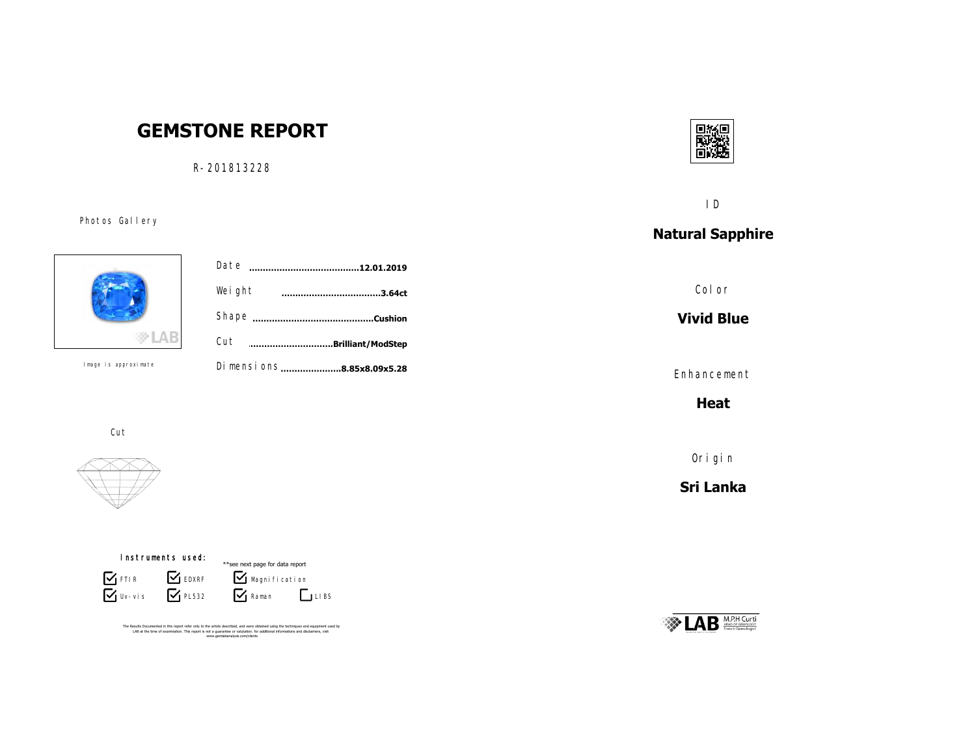# **GEMSTONE REPORT**

R-201813228

Photos Gallery



|           | Date<br><br>.12.01.2019    |  |
|-----------|----------------------------|--|
|           | Weight<br>.3.64ct          |  |
|           |                            |  |
|           | Cut<br>Brilliant/ModStep   |  |
| oroximate | Di mensi ons8.85x8.09x5.28 |  |
|           |                            |  |

Cut

Image is approximate





The Results Documented in this report refer only to the article described, and were obtained using the techniques and equipment used by<br>LAB at the time of examination. This report is not a guarantee or valutation. for addi



ID

## **Natural Sapphire**

Color

**Vivid Blue**

Enhancement

**Heat**

Origin

**Sri Lanka**